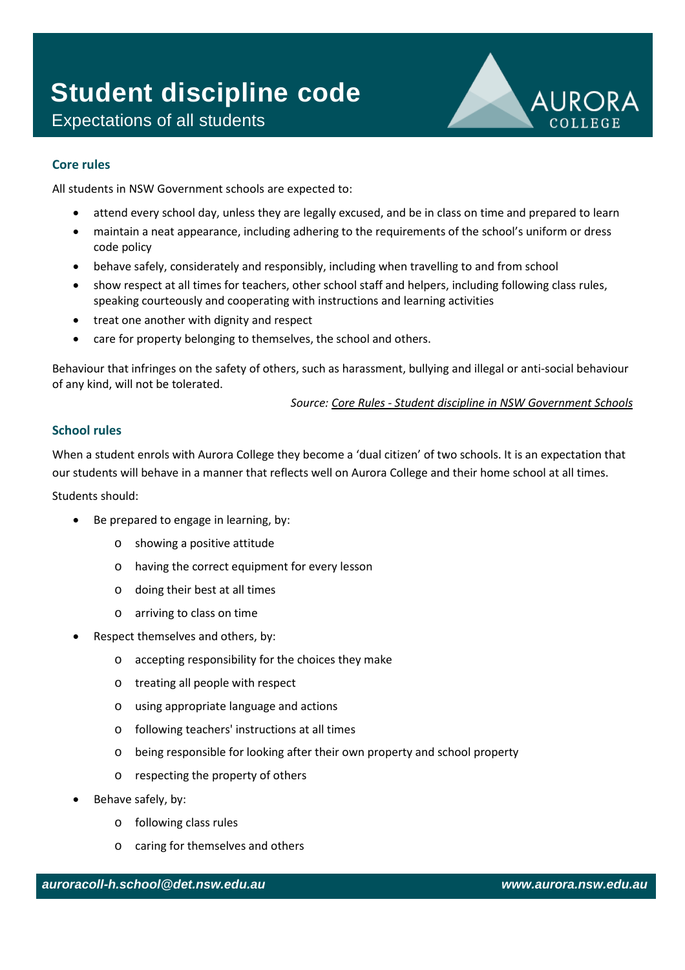## Expectations of all students **Student discipline code**



## **Core rules**

All students in NSW Government schools are expected to:

- attend every school day, unless they are legally excused, and be in class on time and prepared to learn
- maintain a neat appearance, including adhering to the requirements of the school's uniform or dress code policy
- behave safely, considerately and responsibly, including when travelling to and from school
- show respect at all times for teachers, other school staff and helpers, including following class rules, speaking courteously and cooperating with instructions and learning activities
- treat one another with dignity and respect
- care for property belonging to themselves, the school and others.

Behaviour that infringes on the safety of others, such as harassment, bullying and illegal or anti-social behaviour of any kind, will not be tolerated.

*Source: Core Rules - [Student discipline in NSW Government Schools](https://www.det.nsw.edu.au/policies/student_serv/discipline/stu_discip_gov/core_rules.pdf)*

## **School rules**

When a student enrols with Aurora College they become a 'dual citizen' of two schools. It is an expectation that our students will behave in a manner that reflects well on Aurora College and their home school at all times.

Students should:

- Be prepared to engage in learning, by:
	- o showing a positive attitude
	- o having the correct equipment for every lesson
	- o doing their best at all times
	- o arriving to class on time
- Respect themselves and others, by:
	- o accepting responsibility for the choices they make
	- o treating all people with respect
	- o using appropriate language and actions
	- o following teachers' instructions at all times
	- o being responsible for looking after their own property and school property
	- o respecting the property of others
- Behave safely, by:
	- o following class rules
	- o caring for themselves and others